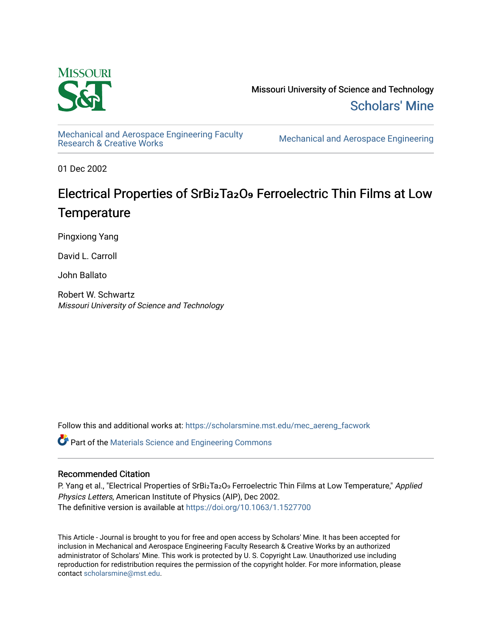

Missouri University of Science and Technology [Scholars' Mine](https://scholarsmine.mst.edu/) 

[Mechanical and Aerospace Engineering Faculty](https://scholarsmine.mst.edu/mec_aereng_facwork) 

**Mechanical and Aerospace Engineering** 

01 Dec 2002

## Electrical Properties of SrBi<sub>2</sub>Ta<sub>2</sub>O<sub>9</sub> Ferroelectric Thin Films at Low **Temperature**

Pingxiong Yang

David L. Carroll

John Ballato

Robert W. Schwartz Missouri University of Science and Technology

Follow this and additional works at: [https://scholarsmine.mst.edu/mec\\_aereng\\_facwork](https://scholarsmine.mst.edu/mec_aereng_facwork?utm_source=scholarsmine.mst.edu%2Fmec_aereng_facwork%2F3425&utm_medium=PDF&utm_campaign=PDFCoverPages) 

**C** Part of the Materials Science and Engineering Commons

## Recommended Citation

P. Yang et al., "Electrical Properties of SrBi2Ta2O9 Ferroelectric Thin Films at Low Temperature," Applied Physics Letters, American Institute of Physics (AIP), Dec 2002. The definitive version is available at <https://doi.org/10.1063/1.1527700>

This Article - Journal is brought to you for free and open access by Scholars' Mine. It has been accepted for inclusion in Mechanical and Aerospace Engineering Faculty Research & Creative Works by an authorized administrator of Scholars' Mine. This work is protected by U. S. Copyright Law. Unauthorized use including reproduction for redistribution requires the permission of the copyright holder. For more information, please contact [scholarsmine@mst.edu](mailto:scholarsmine@mst.edu).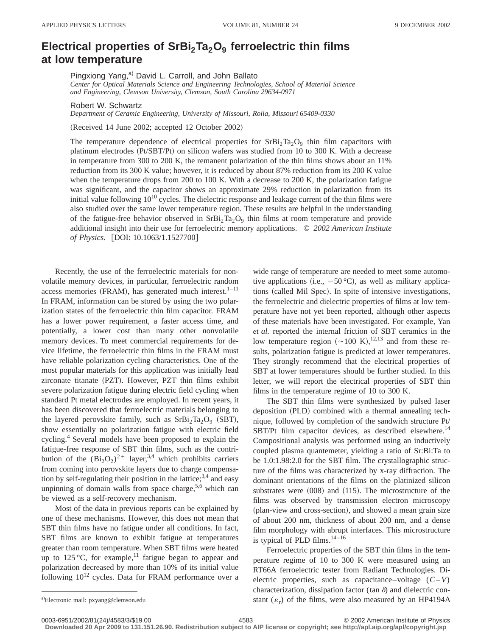## **Electrical properties of SrBi<sub>2</sub>Ta<sub>2</sub>O<sub>9</sub> ferroelectric thin films at low temperature**

Pingxiong Yang,<sup>a)</sup> David L. Carroll, and John Ballato

*Center for Optical Materials Science and Engineering Technologies, School of Material Science and Engineering, Clemson University, Clemson, South Carolina 29634-0971*

Robert W. Schwartz

*Department of Ceramic Engineering, University of Missouri, Rolla, Missouri 65409-0330*

(Received 14 June 2002; accepted 12 October 2002)

The temperature dependence of electrical properties for  $SrBi<sub>2</sub>Ta<sub>2</sub>O<sub>9</sub>$  thin film capacitors with platinum electrodes  $(Pt/SBT/Pt)$  on silicon wafers was studied from 10 to 300 K. With a decrease in temperature from 300 to 200 K, the remanent polarization of the thin films shows about an 11% reduction from its 300 K value; however, it is reduced by about 87% reduction from its 200 K value when the temperature drops from 200 to 100 K. With a decrease to 200 K, the polarization fatigue was significant, and the capacitor shows an approximate 29% reduction in polarization from its initial value following  $10^{10}$  cycles. The dielectric response and leakage current of the thin films were also studied over the same lower temperature region. These results are helpful in the understanding of the fatigue-free behavior observed in  $SrBi<sub>2</sub>Ta<sub>2</sub>O<sub>9</sub>$  thin films at room temperature and provide additional insight into their use for ferroelectric memory applications. © *2002 American Institute of Physics.* [DOI: 10.1063/1.1527700]

Recently, the use of the ferroelectric materials for nonvolatile memory devices, in particular, ferroelectric random access memories (FRAM), has generated much interest. $1-11$ In FRAM, information can be stored by using the two polarization states of the ferroelectric thin film capacitor. FRAM has a lower power requirement, a faster access time, and potentially, a lower cost than many other nonvolatile memory devices. To meet commercial requirements for device lifetime, the ferroelectric thin films in the FRAM must have reliable polarization cycling characteristics. One of the most popular materials for this application was initially lead zirconate titanate (PZT). However, PZT thin films exhibit severe polarization fatigue during electric field cycling when standard Pt metal electrodes are employed. In recent years, it has been discovered that ferroelectric materials belonging to the layered perovskite family, such as  $SrBi<sub>2</sub>Ta<sub>2</sub>O<sub>9</sub>$  (SBT), show essentially no polarization fatigue with electric field cycling.4 Several models have been proposed to explain the fatigue-free response of SBT thin films, such as the contribution of the  $(Bi<sub>2</sub>O<sub>2</sub>)<sup>2+</sup>$  layer,<sup>3,4</sup> which prohibits carriers from coming into perovskite layers due to charge compensation by self-regulating their position in the lattice;  $3,4$  and easy unpinning of domain walls from space charge,<sup>5,6</sup> which can be viewed as a self-recovery mechanism.

Most of the data in previous reports can be explained by one of these mechanisms. However, this does not mean that SBT thin films have no fatigue under all conditions. In fact, SBT films are known to exhibit fatigue at temperatures greater than room temperature. When SBT films were heated up to  $125^{\circ}$ C, for example,<sup>11</sup> fatigue began to appear and polarization decreased by more than 10% of its initial value following  $10^{12}$  cycles. Data for FRAM performance over a

wide range of temperature are needed to meet some automotive applications (i.e.,  $-50 \degree C$ ), as well as military applications (called Mil Spec). In spite of intensive investigations, the ferroelectric and dielectric properties of films at low temperature have not yet been reported, although other aspects of these materials have been investigated. For example, Yan *et al.* reported the internal friction of SBT ceramics in the low temperature region  $({\sim}100 \text{ K})$ ,  $^{12,13}$  and from these results, polarization fatigue is predicted at lower temperatures. They strongly recommend that the electrical properties of SBT at lower temperatures should be further studied. In this letter, we will report the electrical properties of SBT thin films in the temperature regime of 10 to 300 K.

The SBT thin films were synthesized by pulsed laser deposition (PLD) combined with a thermal annealing technique, followed by completion of the sandwich structure Pt/ SBT/Pt film capacitor devices, as described elsewhere.<sup>14</sup> Compositional analysis was performed using an inductively coupled plasma quantemeter, yielding a ratio of Sr:Bi:Ta to be 1.0:1.98:2.0 for the SBT film. The crystallographic structure of the films was characterized by x-ray diffraction. The dominant orientations of the films on the platinized silicon substrates were  $(008)$  and  $(115)$ . The microstructure of the films was observed by transmission electron microscopy (plan-view and cross-section), and showed a mean grain size of about 200 nm, thickness of about 200 nm, and a dense film morphology with abrupt interfaces. This microstructure is typical of PLD films. $14-16$ 

Ferroelectric properties of the SBT thin films in the temperature regime of 10 to 300 K were measured using an RT66A ferroelectric tester from Radiant Technologies. Dielectric properties, such as capacitance–voltage (*C*–*V*) characterization, dissipation factor (tan  $\delta$ ) and dielectric constant ( $\varepsilon_r$ ) of the films, were also measured by an HP4194A

**Downloaded 20 Apr 2009 to 131.151.26.90. Redistribution subject to AIP license or copyright; see http://apl.aip.org/apl/copyright.jsp**

a)Electronic mail: pxyang@clemson.edu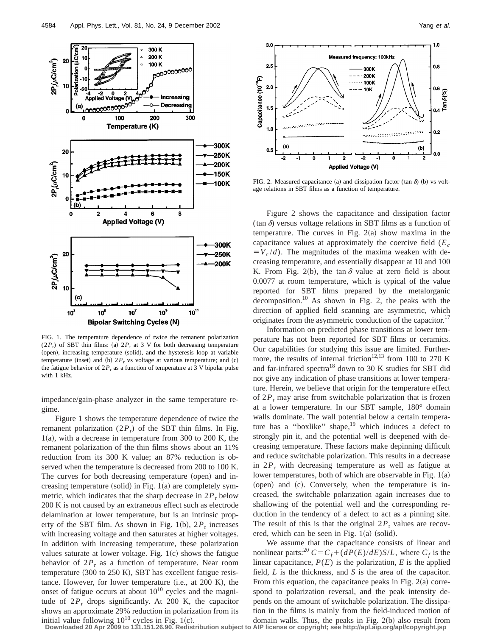

FIG. 1. The temperature dependence of twice the remanent polarization  $(2P_r)$  of SBT thin films: (a)  $2P_r$  at 3 V for both decreasing temperature (open), increasing temperature (solid), and the hysteresis loop at variable temperature (inset) and (b)  $2P_r$  vs voltage at various temperature; and (c) the fatigue behavior of  $2P_r$  as a function of temperature at 3 V bipolar pulse with 1 kHz.

impedance/gain-phase analyzer in the same temperature regime.

Figure 1 shows the temperature dependence of twice the remanent polarization  $(2P_r)$  of the SBT thin films. In Fig.  $1(a)$ , with a decrease in temperature from 300 to 200 K, the remanent polarization of the thin films shows about an 11% reduction from its 300 K value; an 87% reduction is observed when the temperature is decreased from 200 to 100 K. The curves for both decreasing temperature (open) and increasing temperature (solid) in Fig.  $1(a)$  are completely symmetric, which indicates that the sharp decrease in  $2P_r$  below 200 K is not caused by an extraneous effect such as electrode delamination at lower temperature, but is an intrinsic property of the SBT film. As shown in Fig. 1(b),  $2P_r$  increases with increasing voltage and then saturates at higher voltages. In addition with increasing temperature, these polarization values saturate at lower voltage. Fig.  $1(c)$  shows the fatigue behavior of  $2P_r$  as a function of temperature. Near room temperature  $(300 \text{ to } 250 \text{ K})$ , SBT has excellent fatigue resistance. However, for lower temperature (i.e., at  $200 \text{ K}$ ), the onset of fatigue occurs at about  $10^{10}$  cycles and the magnitude of  $2P_r$  drops significantly. At 200 K, the capacitor shows an approximate 29% reduction in polarization from its initial value following  $10^{10}$  cycles in Fig. 1(c).



FIG. 2. Measured capacitance (a) and dissipation factor (tan  $\delta$ ) (b) vs voltage relations in SBT films as a function of temperature.

Figure 2 shows the capacitance and dissipation factor  $(\tan \delta)$  versus voltage relations in SBT films as a function of temperature. The curves in Fig.  $2(a)$  show maxima in the capacitance values at approximately the coercive field  $(E_c)$  $=V_c/d$ ). The magnitudes of the maxima weaken with decreasing temperature, and essentially disappear at 10 and 100 K. From Fig. 2(b), the tan  $\delta$  value at zero field is about 0.0077 at room temperature, which is typical of the value reported for SBT films prepared by the metalorganic decomposition.<sup>10</sup> As shown in Fig. 2, the peaks with the direction of applied field scanning are asymmetric, which originates from the asymmetric conduction of the capacitor.<sup>17</sup>

Information on predicted phase transitions at lower temperature has not been reported for SBT films or ceramics. Our capabilities for studying this issue are limited. Furthermore, the results of internal friction<sup>12,13</sup> from 100 to 270 K and far-infrared spectra<sup>18</sup> down to 30 K studies for SBT did not give any indication of phase transitions at lower temperature. Herein, we believe that origin for the temperature effect of  $2P_r$  may arise from switchable polarization that is frozen at a lower temperature. In our SBT sample, 180° domain walls dominate. The wall potential below a certain temperature has a "boxlike" shape, $19$  which induces a defect to strongly pin it, and the potential well is deepened with decreasing temperature. These factors make depinning difficult and reduce switchable polarization. This results in a decrease in  $2P_r$  with decreasing temperature as well as fatigue at lower temperatures, both of which are observable in Fig.  $1(a)$  $(qpen)$  and  $(c)$ . Conversely, when the temperature is increased, the switchable polarization again increases due to shallowing of the potential well and the corresponding reduction in the tendency of a defect to act as a pinning site. The result of this is that the original  $2P_r$  values are recovered, which can be seen in Fig.  $1(a)$  (solid).

We assume that the capacitance consists of linear and nonlinear parts:<sup>20</sup>  $C = C_f + (dP(E)/dE)S/L$ , where  $C_f$  is the linear capacitance,  $P(E)$  is the polarization,  $E$  is the applied field, *L* is the thickness, and *S* is the area of the capacitor. From this equation, the capacitance peaks in Fig.  $2(a)$  correspond to polarization reversal, and the peak intensity depends on the amount of switchable polarization. The dissipation in the films is mainly from the field-induced motion of domain walls. Thus, the peaks in Fig.  $2(b)$  also result from

**Downloaded 20 Apr 2009 to 131.151.26.90. Redistribution subject to AIP license or copyright; see http://apl.aip.org/apl/copyright.jsp**